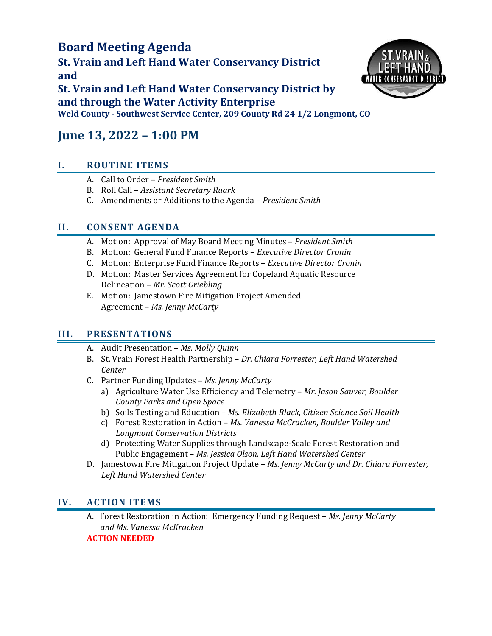## **Board Meeting Agenda**

**St. Vrain and Left Hand Water Conservancy District and**



**St. Vrain and Left Hand Water Conservancy District by and through the Water Activity Enterprise Weld County - Southwest Service Center, 209 County Rd 24 1/2 Longmont, CO**

# **June 13, 2022 – 1:00 PM**

## **I. ROUTINE ITEMS**

- A. Call to Order *President Smith*
- B. Roll Call *Assistant Secretary Ruark*
- C. Amendments or Additions to the Agenda *– President Smith*

## **II. CONSENT AGENDA**

- A. Motion: Approval of May Board Meeting Minutes *President Smith*
- B. Motion: General Fund Finance Reports *Executive Director Cronin*
- C. Motion: Enterprise Fund Finance Reports *Executive Director Cronin*
- D. Motion: Master Services Agreement for Copeland Aquatic Resource Delineation – *Mr. Scott Griebling*
- E. Motion: Jamestown Fire Mitigation Project Amended Agreement – *Ms. Jenny McCarty*

## **III. PRESENTATIONS**

- A. Audit Presentation *Ms. Molly Quinn*
- B. St. Vrain Forest Health Partnership *Dr. Chiara Forrester, Left Hand Watershed Center*
- C. Partner Funding Updates *Ms. Jenny McCarty*
	- a) Agriculture Water Use Efficiency and Telemetry *Mr. Jason Sauver, Boulder County Parks and Open Space*
	- b) Soils Testing and Education *Ms. Elizabeth Black, Citizen Science Soil Health*
	- c) Forest Restoration in Action *Ms. Vanessa McCracken, Boulder Valley and Longmont Conservation Districts*
	- d) Protecting Water Supplies through Landscape-Scale Forest Restoration and Public Engagement – *Ms. Jessica Olson, Left Hand Watershed Center*
- D. Jamestown Fire Mitigation Project Update *Ms. Jenny McCarty and Dr. Chiara Forrester, Left Hand Watershed Center*

### **IV. ACTION ITEMS**

A. Forest Restoration in Action: Emergency Funding Request – *Ms. Jenny McCarty and Ms. Vanessa McKracken* **ACTION NEEDED**